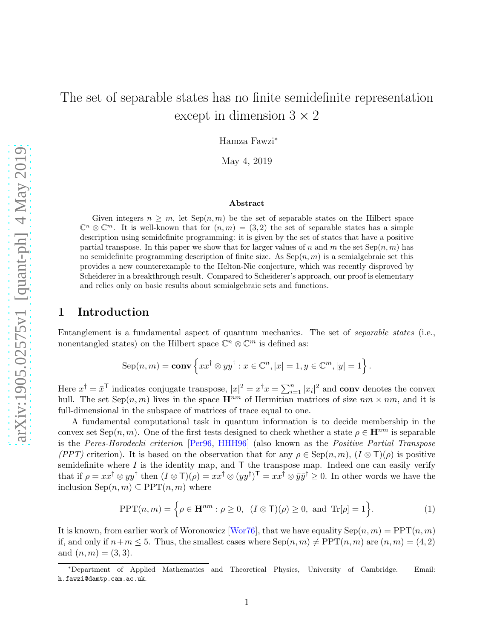# The set of separable states has no finite semidefinite representation except in dimension  $3 \times 2$

Hamza Fawzi<sup>∗</sup>

May 4, 2019

#### Abstract

Given integers  $n > m$ , let  $\text{Sep}(n, m)$  be the set of separable states on the Hilbert space  $\mathbb{C}^n \otimes \mathbb{C}^m$ . It is well-known that for  $(n,m) = (3,2)$  the set of separable states has a simple description using semidefinite programming: it is given by the set of states that have a positive partial transpose. In this paper we show that for larger values of n and m the set  $\text{Sep}(n, m)$  has no semidefinite programming description of finite size. As  $\text{Sep}(n, m)$  is a semialgebraic set this provides a new counterexample to the Helton-Nie conjecture, which was recently disproved by Scheiderer in a breakthrough result. Compared to Scheiderer's approach, our proof is elementary and relies only on basic results about semialgebraic sets and functions.

## 1 Introduction

Entanglement is a fundamental aspect of quantum mechanics. The set of separable states (i.e., nonentangled states) on the Hilbert space  $\mathbb{C}^n \otimes \mathbb{C}^m$  is defined as:

$$
\mathrm{Sep}(n,m)=\mathbf{conv}\left\{xx^\dagger\otimes yy^\dagger:x\in\mathbb{C}^n,|x|=1,y\in\mathbb{C}^m,|y|=1\right\}.
$$

Here  $x^{\dagger} = \bar{x}^{\dagger}$  indicates conjugate transpose,  $|x|^2 = x^{\dagger}x = \sum_{i=1}^n |x_i|^2$  and **conv** denotes the convex hull. The set  $\text{Sep}(n,m)$  lives in the space  $\mathbf{H}^{nm}$  of Hermitian matrices of size  $nm \times nm$ , and it is full-dimensional in the subspace of matrices of trace equal to one.

A fundamental computational task in quantum information is to decide membership in the convex set Sep(n, m). One of the first tests designed to check whether a state  $\rho \in \mathbf{H}^{nm}$  is separable is the Peres-Horodecki criterion [\[Per96,](#page-15-0) [HHH96\]](#page-15-1) (also known as the Positive Partial Transpose (PPT) criterion). It is based on the observation that for any  $\rho \in \text{Sep}(n,m)$ ,  $(I \otimes T)(\rho)$  is positive semidefinite where  $I$  is the identity map, and  $\mathsf T$  the transpose map. Indeed one can easily verify that if  $\rho = xx^{\dagger} \otimes yy^{\dagger}$  then  $(I \otimes \mathsf{T})(\rho) = xx^{\dagger} \otimes (yy^{\dagger})^{\mathsf{T}} = xx^{\dagger} \otimes \bar{y}\bar{y}^{\dagger} \geq 0$ . In other words we have the inclusion  $\text{Sep}(n,m) \subseteq \text{PPT}(n,m)$  where

<span id="page-0-0"></span>
$$
\text{PPT}(n,m) = \left\{ \rho \in \mathbf{H}^{nm} : \rho \ge 0, \ (I \otimes \mathsf{T})(\rho) \ge 0, \text{ and } \text{Tr}[\rho] = 1 \right\}.
$$
 (1)

It is known, from earlier work of Woronowicz [\[Wor76\]](#page-15-2), that we have equality  $\text{Sep}(n, m) = \text{PPT}(n, m)$ if, and only if  $n+m \leq 5$ . Thus, the smallest cases where  $\text{Sep}(n,m) \neq \text{PPT}(n,m)$  are  $(n,m) = (4, 2)$ and  $(n, m) = (3, 3)$ .

<sup>∗</sup>Department of Applied Mathematics and Theoretical Physics, University of Cambridge. Email: h.fawzi@damtp.cam.ac.uk.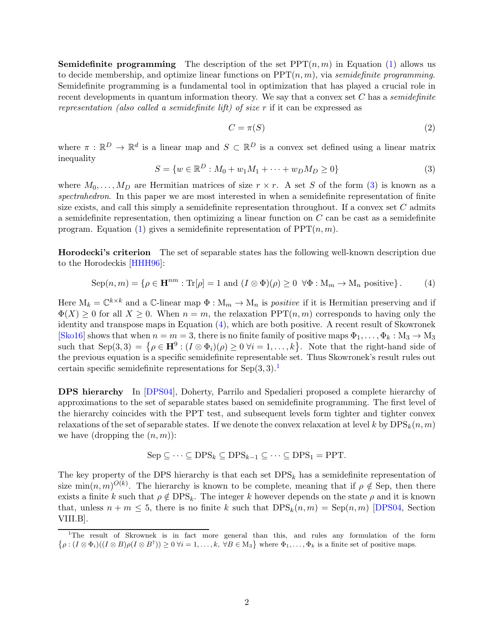**Semidefinite programming** The description of the set  $PPT(n, m)$  in Equation [\(1\)](#page-0-0) allows us to decide membership, and optimize linear functions on  $PPT(n, m)$ , via semidefinite programming. Semidefinite programming is a fundamental tool in optimization that has played a crucial role in recent developments in quantum information theory. We say that a convex set  $C$  has a *semidefinite* representation (also called a semidefinite lift) of size r if it can be expressed as

$$
C = \pi(S) \tag{2}
$$

where  $\pi : \mathbb{R}^D \to \mathbb{R}^d$  is a linear map and  $S \subset \mathbb{R}^D$  is a convex set defined using a linear matrix inequality

<span id="page-1-0"></span>
$$
S = \{ w \in \mathbb{R}^D : M_0 + w_1 M_1 + \dots + w_D M_D \ge 0 \}
$$
 (3)

where  $M_0, \ldots, M_D$  are Hermitian matrices of size  $r \times r$ . A set S of the form [\(3\)](#page-1-0) is known as a spectrahedron. In this paper we are most interested in when a semidefinite representation of finite size exists, and call this simply a semidefinite representation throughout. If a convex set  $C$  admits a semidefinite representation, then optimizing a linear function on  $C$  can be cast as a semidefinite program. Equation [\(1\)](#page-0-0) gives a semidefinite representation of  $PPT(n, m)$ .

Horodecki's criterion The set of separable states has the following well-known description due to the Horodeckis [\[HHH96\]](#page-15-1):

<span id="page-1-1"></span>
$$
Sep(n,m) = \{ \rho \in \mathbf{H}^{nm} : \text{Tr}[\rho] = 1 \text{ and } (I \otimes \Phi)(\rho) \ge 0 \ \forall \Phi : M_m \to M_n \text{ positive} \}.
$$
 (4)

Here  $M_k = \mathbb{C}^{k \times k}$  and a  $\mathbb{C}$ -linear map  $\Phi : M_m \to M_n$  is *positive* if it is Hermitian preserving and if  $\Phi(X) \geq 0$  for all  $X \geq 0$ . When  $n = m$ , the relaxation PPT $(n, m)$  corresponds to having only the identity and transpose maps in Equation [\(4\)](#page-1-1), which are both positive. A recent result of Skowronek [\[Sko16\]](#page-15-3) shows that when  $n = m = 3$ , there is no finite family of positive maps  $\Phi_1, \ldots, \Phi_k : M_3 \to M_3$ such that  $\text{Sep}(3,3) = \{ \rho \in \mathbb{H}^9 : (I \otimes \Phi_i)(\rho) \geq 0 \ \forall i = 1,\ldots,k \}.$  Note that the right-hand side of the previous equation is a specific semidefinite representable set. Thus Skowronek's result rules out certain specific semidefinite representations for  $Sep(3,3).<sup>1</sup>$  $Sep(3,3).<sup>1</sup>$  $Sep(3,3).<sup>1</sup>$ 

DPS hierarchy In [\[DPS04\]](#page-15-4), Doherty, Parrilo and Spedalieri proposed a complete hierarchy of approximations to the set of separable states based on semidefinite programming. The first level of the hierarchy coincides with the PPT test, and subsequent levels form tighter and tighter convex relaxations of the set of separable states. If we denote the convex relaxation at level k by  $DPS_k(n, m)$ we have (dropping the  $(n, m)$ ):

$$
Sep \subseteq \cdots \subseteq DPS_k \subseteq DPS_{k-1} \subseteq \cdots \subseteq DPS_1 = PPT.
$$

The key property of the DPS hierarchy is that each set  $DPS_k$  has a semidefinite representation of size min $(n,m)^{O(k)}$ . The hierarchy is known to be complete, meaning that if  $\rho \notin$  Sep, then there exists a finite k such that  $\rho \notin \text{DPS}_k$ . The integer k however depends on the state  $\rho$  and it is known that, unless  $n + m \leq 5$ , there is no finite k such that  $DPS<sub>k</sub>(n,m) = Sep(n,m)$  [\[DPS04,](#page-15-4) Section VIII.B].

<span id="page-1-2"></span><sup>1</sup> The result of Skrownek is in fact more general than this, and rules any formulation of the form  $\{\rho: (I \otimes \Phi_i)((I \otimes B)\rho(I \otimes B^{\dagger})) \geq 0 \,\forall i = 1,\ldots,k, \,\forall B \in M_3\}$  where  $\Phi_1, \ldots, \Phi_k$  is a finite set of positive maps.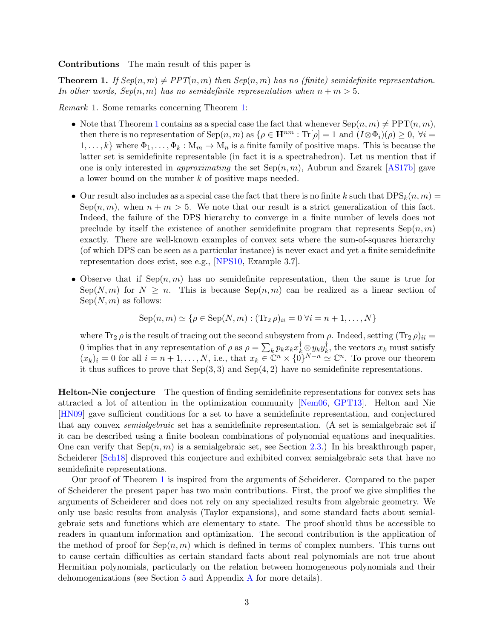Contributions The main result of this paper is

<span id="page-2-0"></span>**Theorem 1.** If  $Sep(n,m) \neq PPT(n,m)$  then  $Sep(n,m)$  has no (finite) semidefinite representation. In other words,  $Sep(n, m)$  has no semidefinite representation when  $n + m > 5$ .

Remark 1. Some remarks concerning Theorem [1:](#page-2-0)

- Note that Theorem [1](#page-2-0) contains as a special case the fact that whenever  $\text{Sep}(n, m) \neq \text{PPT}(n, m)$ , then there is no representation of Sep $(n, m)$  as  $\{\rho \in \mathbf{H}^{nm} : \text{Tr}[\rho] = 1 \text{ and } (I \otimes \Phi_i)(\rho) \geq 0, \forall i =$  $1, \ldots, k$  where  $\Phi_1, \ldots, \Phi_k : M_m \to M_n$  is a finite family of positive maps. This is because the latter set is semidefinite representable (in fact it is a spectrahedron). Let us mention that if one is only interested in *approximating* the set  $Sep(n, m)$ , Aubrun and Szarek [\[AS17b\]](#page-14-0) gave a lower bound on the number k of positive maps needed.
- Our result also includes as a special case the fact that there is no finite k such that  $DPS_k(n, m) =$ Sep $(n, m)$ , when  $n + m > 5$ . We note that our result is a strict generalization of this fact. Indeed, the failure of the DPS hierarchy to converge in a finite number of levels does not preclude by itself the existence of another semidefinite program that represents  $\text{Sep}(n,m)$ exactly. There are well-known examples of convex sets where the sum-of-squares hierarchy (of which DPS can be seen as a particular instance) is never exact and yet a finite semidefinite representation does exist, see e.g., [\[NPS10,](#page-15-5) Example 3.7].
- Observe that if  $\text{Sep}(n,m)$  has no semidefinite representation, then the same is true for  $Sep(N, m)$  for  $N \geq n$ . This is because  $Sep(n, m)$  can be realized as a linear section of  $Sep(N, m)$  as follows:

$$
Sep(n,m) \simeq \{ \rho \in Sep(N,m) : (Tr_2 \rho)_{ii} = 0 \ \forall i = n+1, ..., N \}
$$

where  $\text{Tr}_2 \rho$  is the result of tracing out the second subsystem from  $\rho$ . Indeed, setting  $(\text{Tr}_2 \rho)_{ii} =$ 0 implies that in any representation of  $\rho$  as  $\rho = \sum_k p_k x_k x_k^{\dagger} \otimes y_k y_k^{\dagger}$  $\mathbf{k}$ , the vectors  $\mathbf{x}_k$  must satisfy  $(x_k)_i = 0$  for all  $i = n+1, \ldots, N$ , i.e., that  $x_k \in \mathbb{C}^n \times \{0\}^{N-n} \simeq \mathbb{C}^n$ . To prove our theorem it thus suffices to prove that  $Sep(3,3)$  and  $Sep(4,2)$  have no semidefinite representations.

Helton-Nie conjecture The question of finding semidefinite representations for convex sets has attracted a lot of attention in the optimization community [\[Nem06,](#page-15-6) [GPT13\]](#page-15-7). Helton and Nie [\[HN09\]](#page-15-8) gave sufficient conditions for a set to have a semidefinite representation, and conjectured that any convex semialgebraic set has a semidefinite representation. (A set is semialgebraic set if it can be described using a finite boolean combinations of polynomial equations and inequalities. One can verify that  $\text{Sep}(n,m)$  is a semialgebraic set, see Section [2.3.](#page-7-0)) In his breakthrough paper, Scheiderer [\[Sch18\]](#page-15-9) disproved this conjecture and exhibited convex semialgebraic sets that have no semidefinite representations.

Our proof of Theorem [1](#page-2-0) is inspired from the arguments of Scheiderer. Compared to the paper of Scheiderer the present paper has two main contributions. First, the proof we give simplifies the arguments of Scheiderer and does not rely on any specialized results from algebraic geometry. We only use basic results from analysis (Taylor expansions), and some standard facts about semialgebraic sets and functions which are elementary to state. The proof should thus be accessible to readers in quantum information and optimization. The second contribution is the application of the method of proof for  $\text{Sep}(n,m)$  which is defined in terms of complex numbers. This turns out to cause certain difficulties as certain standard facts about real polynomials are not true about Hermitian polynomials, particularly on the relation between homogeneous polynomials and their dehomogenizations (see Section [5](#page-11-0) and Appendix [A](#page-12-0) for more details).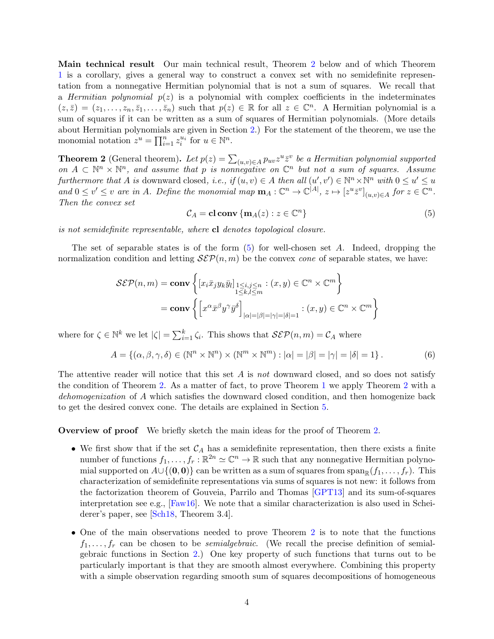Main technical result Our main technical result, Theorem [2](#page-3-0) below and of which Theorem [1](#page-2-0) is a corollary, gives a general way to construct a convex set with no semidefinite representation from a nonnegative Hermitian polynomial that is not a sum of squares. We recall that a Hermitian polynomial  $p(z)$  is a polynomial with complex coefficients in the indeterminates  $(z,\bar{z}) = (z_1,\ldots,z_n,\bar{z}_1,\ldots,\bar{z}_n)$  such that  $p(z) \in \mathbb{R}$  for all  $z \in \mathbb{C}^n$ . A Hermitian polynomial is a sum of squares if it can be written as a sum of squares of Hermitian polynomials. (More details about Hermitian polynomials are given in Section [2.](#page-4-0)) For the statement of the theorem, we use the monomial notation  $z^u = \prod_{i=1}^n z_i^{u_i}$  for  $u \in \mathbb{N}^n$ .

<span id="page-3-0"></span>**Theorem 2** (General theorem). Let  $p(z) = \sum_{(u,v)\in A} p_{uv} z^u \overline{z}^v$  be a Hermitian polynomial supported on  $A \subset \mathbb{N}^n \times \mathbb{N}^n$ , and assume that p is nonnegative on  $\mathbb{C}^n$  but not a sum of squares. Assume furthermore that A is downward closed, i.e., if  $(u, v) \in A$  then all  $(u', v') \in \mathbb{N}^n \times \mathbb{N}^n$  with  $0 \le u' \le u$ and  $0 \le v' \le v$  are in A. Define the monomial map  $\mathbf{m}_A : \mathbb{C}^n \to \mathbb{C}^{|A|}, z \mapsto [z^u \overline{z}^v]_{(u,v)\in A}$  for  $z \in \mathbb{C}^n$ . Then the convex set

<span id="page-3-1"></span>
$$
C_A = \mathbf{cl} \operatorname{conv} \{ \mathbf{m}_A(z) : z \in \mathbb{C}^n \}
$$
 (5)

is not semidefinite representable, where cl denotes topological closure.

The set of separable states is of the form  $(5)$  for well-chosen set A. Indeed, dropping the normalization condition and letting  $\mathcal{S}\mathcal{E}\mathcal{P}(n,m)$  be the convex *cone* of separable states, we have:

$$
\mathcal{S}\mathcal{E}\mathcal{P}(n,m) = \mathbf{conv}\left\{ \left[ x_i \bar{x}_j y_k \bar{y}_l \right]_{\substack{1 \le i,j \le n \\ 1 \le k,l \le m}} : (x,y) \in \mathbb{C}^n \times \mathbb{C}^m \right\}
$$

$$
= \mathbf{conv}\left\{ \left[ x^\alpha \bar{x}^\beta y^\gamma \bar{y}^\delta \right]_{|\alpha| = |\beta| = |\gamma| = |\delta| = 1} : (x,y) \in \mathbb{C}^n \times \mathbb{C}^m \right\}
$$

where for  $\zeta \in \mathbb{N}^k$  we let  $|\zeta| = \sum_{i=1}^k \zeta_i$ . This shows that  $\mathcal{S}\mathcal{E}\mathcal{P}(n,m) = \mathcal{C}_A$  where

$$
A = \{ (\alpha, \beta, \gamma, \delta) \in (\mathbb{N}^n \times \mathbb{N}^n) \times (\mathbb{N}^m \times \mathbb{N}^m) : |\alpha| = |\beta| = |\gamma| = |\delta| = 1 \}.
$$
 (6)

The attentive reader will notice that this set  $A$  is not downward closed, and so does not satisfy the condition of Theorem [2.](#page-3-0) As a matter of fact, to prove Theorem [1](#page-2-0) we apply Theorem [2](#page-3-0) with a dehomogenization of A which satisfies the downward closed condition, and then homogenize back to get the desired convex cone. The details are explained in Section [5.](#page-11-0)

Overview of proof We briefly sketch the main ideas for the proof of Theorem [2.](#page-3-0)

- We first show that if the set  $\mathcal{C}_A$  has a semidefinite representation, then there exists a finite number of functions  $f_1, \ldots, f_r : \mathbb{R}^{2n} \simeq \mathbb{C}^n \to \mathbb{R}$  such that any nonnegative Hermitian polynomial supported on  $A\cup\{(0,0)\}\)$  can be written as a sum of squares from  $\text{span}_{\mathbb{R}}(f_1,\ldots,f_r)$ . This characterization of semidefinite representations via sums of squares is not new: it follows from the factorization theorem of Gouveia, Parrilo and Thomas [\[GPT13\]](#page-15-7) and its sum-of-squares interpretation see e.g.,  $[Faw16]$ . We note that a similar characterization is also used in Scheiderer's paper, see [\[Sch18,](#page-15-9) Theorem 3.4].
- One of the main observations needed to prove Theorem [2](#page-3-0) is to note that the functions  $f_1, \ldots, f_r$  can be chosen to be *semialgebraic*. (We recall the precise definition of semialgebraic functions in Section [2.](#page-4-0)) One key property of such functions that turns out to be particularly important is that they are smooth almost everywhere. Combining this property with a simple observation regarding smooth sum of squares decompositions of homogeneous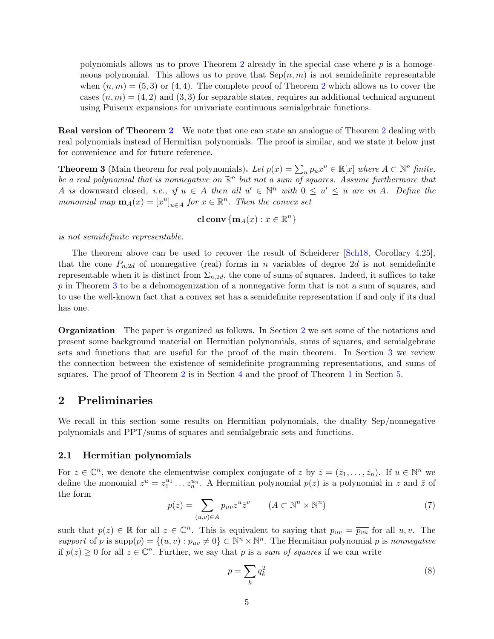polynomials allows us to prove Theorem [2](#page-3-0) already in the special case where  $p$  is a homogeneous polynomial. This allows us to prove that  $\text{Sep}(n,m)$  is not semidefinite representable when  $(n, m) = (5, 3)$  or  $(4, 4)$ . The complete proof of Theorem [2](#page-3-0) which allows us to cover the cases  $(n, m) = (4, 2)$  and  $(3, 3)$  for separable states, requires an additional technical argument using Puiseux expansions for univariate continuous semialgebraic functions.

Real version of Theorem [2](#page-3-0) We note that one can state an analogue of Theorem [2](#page-3-0) dealing with real polynomials instead of Hermitian polynomials. The proof is similar, and we state it below just for convenience and for future reference.

<span id="page-4-1"></span>**Theorem 3** (Main theorem for real polynomials). Let  $p(x) = \sum_{u} p_u x^u \in \mathbb{R}[x]$  where  $A \subset \mathbb{N}^n$  finite, be a real polynomial that is nonnegative on  $\mathbb{R}^n$  but not a sum of squares. Assume furthermore that A is downward closed, i.e., if  $u \in A$  then all  $u' \in \mathbb{N}^n$  with  $0 \le u' \le u$  are in A. Define the monomial map  $\mathbf{m}_A(x) = [x^u]_{u \in A}$  for  $x \in \mathbb{R}^n$ . Then the convex set

cl conv $\{m_A(x):x\in\mathbb{R}^n\}$ 

is not semidefinite representable.

The theorem above can be used to recover the result of Scheiderer [\[Sch18,](#page-15-9) Corollary 4.25], that the cone  $P_{n,2d}$  of nonnegative (real) forms in n variables of degree 2d is not semidefinite representable when it is distinct from  $\Sigma_{n,2d}$ , the cone of sums of squares. Indeed, it suffices to take p in Theorem [3](#page-4-1) to be a dehomogenization of a nonnegative form that is not a sum of squares, and to use the well-known fact that a convex set has a semidefinite representation if and only if its dual has one.

Organization The paper is organized as follows. In Section [2](#page-4-0) we set some of the notations and present some background material on Hermitian polynomials, sums of squares, and semialgebraic sets and functions that are useful for the proof of the main theorem. In Section [3](#page-8-0) we review the connection between the existence of semidefinite programming representations, and sums of squares. The proof of Theorem [2](#page-3-0) is in Section [4](#page-9-0) and the proof of Theorem [1](#page-2-0) in Section [5.](#page-11-0)

## <span id="page-4-0"></span>2 Preliminaries

We recall in this section some results on Hermitian polynomials, the duality Sep/nonnegative polynomials and PPT/sums of squares and semialgebraic sets and functions.

#### 2.1 Hermitian polynomials

For  $z \in \mathbb{C}^n$ , we denote the elementwise complex conjugate of z by  $\bar{z} = (\bar{z}_1, \ldots, \bar{z}_n)$ . If  $u \in \mathbb{N}^n$  we define the monomial  $z^u = z_1^{u_1} \ldots z_n^{u_n}$ . A Hermitian polynomial  $p(z)$  is a polynomial in z and  $\overline{z}$  of the form

$$
p(z) = \sum_{(u,v)\in A} p_{uv} z^u \overline{z}^v \qquad (A \subset \mathbb{N}^n \times \mathbb{N}^n)
$$
 (7)

such that  $p(z) \in \mathbb{R}$  for all  $z \in \mathbb{C}^n$ . This is equivalent to saying that  $p_{uv} = \overline{p_{vu}}$  for all  $u, v$ . The support of p is supp $(p) = \{(u, v) : p_{uv} \neq 0\} \subset \mathbb{N}^n \times \mathbb{N}^n$ . The Hermitian polynomial p is nonnegative if  $p(z) \geq 0$  for all  $z \in \mathbb{C}^n$ . Further, we say that p is a sum of squares if we can write

<span id="page-4-2"></span>
$$
p = \sum_{k} q_k^2 \tag{8}
$$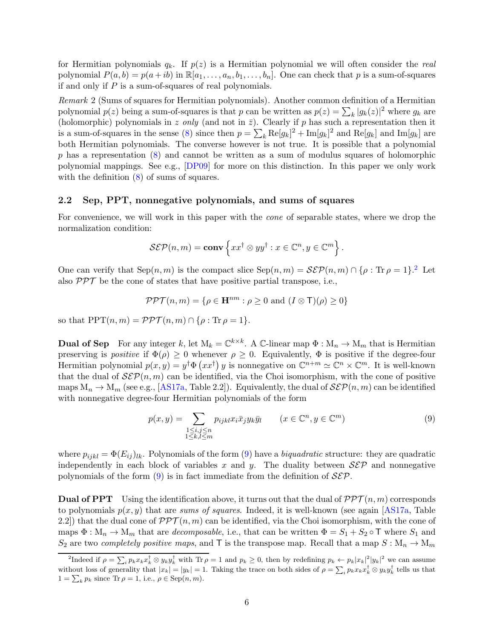for Hermitian polynomials  $q_k$ . If  $p(z)$  is a Hermitian polynomial we will often consider the real polynomial  $P(a, b) = p(a + ib)$  in  $\mathbb{R}[a_1, \ldots, a_n, b_1, \ldots, b_n]$ . One can check that p is a sum-of-squares if and only if P is a sum-of-squares of real polynomials.

Remark 2 (Sums of squares for Hermitian polynomials). Another common definition of a Hermitian polynomial  $p(z)$  being a sum-of-squares is that p can be written as  $p(z) = \sum_{k} |g_k(z)|^2$  where  $g_k$  are (holomorphic) polynomials in z only (and not in  $\bar{z}$ ). Clearly if p has such a representation then it is a sum-of-squares in the sense [\(8\)](#page-4-2) since then  $p = \sum_k \text{Re}[g_k]^2 + \text{Im}[g_k]^2$  and  $\text{Re}[g_k]$  and  $\text{Im}[g_k]$  are both Hermitian polynomials. The converse however is not true. It is possible that a polynomial  $p$  has a representation  $(8)$  and cannot be written as a sum of modulus squares of holomorphic polynomial mappings. See e.g., [\[DP09\]](#page-14-1) for more on this distinction. In this paper we only work with the definition  $(8)$  of sums of squares.

#### 2.2 Sep, PPT, nonnegative polynomials, and sums of squares

For convenience, we will work in this paper with the cone of separable states, where we drop the normalization condition:

$$
\mathcal{S}\mathcal{E}\mathcal{P}(n,m) = \mathbf{conv}\left\{xx^{\dagger} \otimes yy^{\dagger} : x \in \mathbb{C}^n, y \in \mathbb{C}^m\right\}.
$$

One can verify that  $\text{Sep}(n,m)$  is the compact slice  $\text{Sep}(n,m) = \mathcal{SEP}(n,m) \cap \{\rho : \text{Tr } \rho = 1\}.^2$  $\text{Sep}(n,m) = \mathcal{SEP}(n,m) \cap \{\rho : \text{Tr } \rho = 1\}.^2$  Let also  $\mathcal{PPT}$  be the cone of states that have positive partial transpose, i.e.,

$$
\mathcal{PPT}(n,m) = \{ \rho \in \mathbf{H}^{nm} : \rho \ge 0 \text{ and } (I \otimes \mathbf{T})(\rho) \ge 0 \}
$$

so that  $PPT(n, m) = \mathcal{PPT}(n, m) \cap {\rho : \text{Tr } \rho = 1}.$ 

**Dual of Sep** For any integer k, let  $M_k = \mathbb{C}^{k \times k}$ . A  $\mathbb{C}$ -linear map  $\Phi : M_n \to M_m$  that is Hermitian preserving is *positive* if  $\Phi(\rho) \geq 0$  whenever  $\rho \geq 0$ . Equivalently,  $\Phi$  is positive if the degree-four Hermitian polynomial  $p(x, y) = y^{\dagger} \Phi (xx^{\dagger}) y$  is nonnegative on  $\mathbb{C}^{n+m} \simeq \mathbb{C}^n \times \mathbb{C}^m$ . It is well-known that the dual of  $\mathcal{S}\mathcal{E}\mathcal{P}(n,m)$  can be identified, via the Choi isomorphism, with the cone of positive maps  $M_n \to M_m$  (see e.g., [\[AS17a,](#page-14-2) Table 2.2]). Equivalently, the dual of  $\mathcal{S}\mathcal{E}\mathcal{P}(n,m)$  can be identified with nonnegative degree-four Hermitian polynomials of the form

<span id="page-5-1"></span>
$$
p(x,y) = \sum_{\substack{1 \le i,j \le n \\ 1 \le k,l \le m}} p_{ijkl} x_i \bar{x}_j y_k \bar{y}_l \qquad (x \in \mathbb{C}^n, y \in \mathbb{C}^m)
$$
 (9)

where  $p_{ijkl} = \Phi(E_{ij})_{lk}$ . Polynomials of the form [\(9\)](#page-5-1) have a *biquadratic* structure: they are quadratic independently in each block of variables x and y. The duality between  $\mathcal{S}\mathcal{E}\mathcal{P}$  and nonnegative polynomials of the form [\(9\)](#page-5-1) is in fact immediate from the definition of  $\mathcal{S}\mathcal{E}\mathcal{P}$ .

**Dual of PPT** Using the identification above, it turns out that the dual of  $\mathcal{PPT}(n,m)$  corresponds to polynomials  $p(x, y)$  that are sums of squares. Indeed, it is well-known (see again [\[AS17a,](#page-14-2) Table 2.2) that the dual cone of  $\mathcal{PPT}(n,m)$  can be identified, via the Choi isomorphism, with the cone of maps  $\Phi : M_n \to M_m$  that are *decomposable*, i.e., that can be written  $\Phi = S_1 + S_2 \circ \mathsf{T}$  where  $S_1$  and  $S_2$  are two *completely positive maps*, and T is the transpose map. Recall that a map  $S : M_n \to M_m$ 

<span id="page-5-0"></span><sup>&</sup>lt;sup>2</sup>Indeed if  $\rho = \sum_i p_k x_k x_k^{\dagger} \otimes y_k y_k^{\dagger}$  with Tr  $\rho = 1$  and  $p_k \geq 0$ , then by redefining  $p_k \leftarrow p_k |x_k|^2 |y_k|^2$  we can assume without loss of generality that  $|x_k| = |y_k| = 1$ . Taking the trace on both sides of  $\rho = \sum_i p_k x_k x_k^{\dagger} \otimes y_k y_k^{\dagger}$  tells us that  $1 = \sum_k p_k$  since Tr  $\rho = 1$ , i.e.,  $\rho \in \text{Sep}(n, m)$ .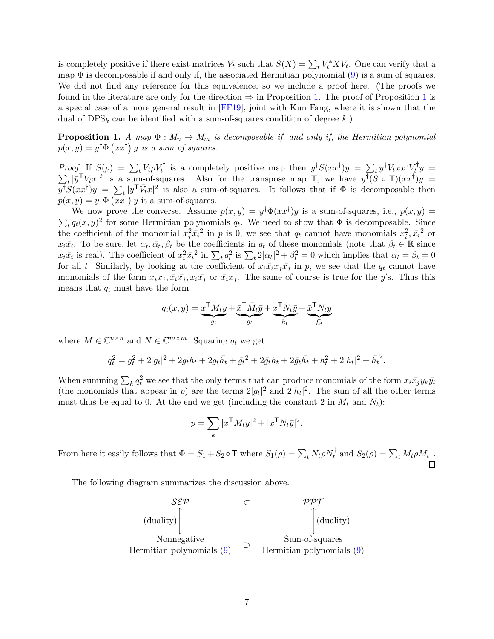is completely positive if there exist matrices  $V_t$  such that  $S(X) = \sum_t V_t^* X V_t$ . One can verify that a map  $\Phi$  is decomposable if and only if, the associated Hermitian polynomial  $(9)$  is a sum of squares. We did not find any reference for this equivalence, so we include a proof here. (The proofs we found in the literature are only for the direction  $\Rightarrow$  in Proposition [1.](#page-6-0) The proof of Proposition [1](#page-6-0) is a special case of a more general result in [\[FF19\]](#page-15-11), joint with Kun Fang, where it is shown that the dual of  $DPS_k$  can be identified with a sum-of-squares condition of degree k.)

<span id="page-6-0"></span>**Proposition 1.** A map  $\Phi : M_n \to M_m$  is decomposable if, and only if, the Hermitian polynomial  $p(x,y) = y^{\dagger} \Phi \left( xx^{\dagger} \right) y$  is a sum of squares.

Proof. If  $S(\rho) = \sum_t V_t \rho V_t^{\dagger}$  is a completely positive map then  $y^{\dagger}S(xx^{\dagger})y = \sum_t y^{\dagger}V_t xx^{\dagger}V_t^{\dagger}$  $\sum_{t} \overline{u}^{\mathsf{T}} V_{t} x$  is a sum-of-squares. Also for the transpose map  $\overline{v}$ , we have  $u^{\dagger} (S \circ \mathsf{T}) (xx^{\dagger})$  $y =$  $t |\bar{y}^{\mathsf{T}} V_t x|^2$  is a sum-of-squares. Also for the transpose map  $\bar{\mathsf{T}}$ , we have  $y^{\mathsf{T}}(S \circ \bar{\mathsf{T}})(xx^{\mathsf{T}})y =$  $y^{\dagger}S(\bar{x}\bar{x}^{\dagger})y = \sum_{t} |y^{\dagger}\bar{V}_{t}x|^{2}$  is also a sum-of-squares. It follows that if  $\Phi$  is decomposable then  $p(x, y) = y^{\dagger} \Phi\left(\overline{x x^{\dagger}}\right) y$  is a sum-of-squares.

We now prove the converse. Assume  $p(x, y) = y^{\dagger} \Phi(xx^{\dagger})y$  is a sum-of-squares, i.e.,  $p(x, y) = y^{\dagger} \Phi(xx^{\dagger})y$  $\sum_t q_t(x,y)^2$  for some Hermitian polynomials  $q_t$ . We need to show that  $\Phi$  is decomposable. Since the coefficient of the monomial  $x_i^2 \bar{x_i}^2$  in p is 0, we see that  $q_t$  cannot have monomials  $x_i^2, \bar{x_i}^2$  or  $x_i\bar{x_i}$ . To be sure, let  $\alpha_t, \bar{\alpha}_t, \beta_t$  be the coefficients in  $q_t$  of these monomials (note that  $\beta_t \in \mathbb{R}$  since  $x_i\bar{x_i}$  is real). The coefficient of  $x_i^2\bar{x_i}^2$  in  $\sum_t q_t^2$  is  $\sum_t 2|\alpha_t|^2 + \beta_t^2 = 0$  which implies that  $\alpha_t = \beta_t = 0$ for all t. Similarly, by looking at the coefficient of  $x_i\bar{x_i}x_j\bar{x_j}$  in p, we see that the  $q_t$  cannot have monomials of the form  $x_ix_j, \bar{x_i}\bar{x_j}, x_i\bar{x_j}$  or  $\bar{x_ix_j}$ . The same of course is true for the y's. Thus this means that  $q_t$  must have the form

$$
q_t(x,y) = \underbrace{x^{\mathsf{T}} M_t y}_{g_t} + \underbrace{\bar{x}^{\mathsf{T}} \bar{M}_t \bar{y}}_{\bar{g}_t} + \underbrace{x^{\mathsf{T}} N_t \bar{y}}_{h_t} + \underbrace{\bar{x}^{\mathsf{T}} N_t y}_{\bar{h}_t}
$$

where  $M \in \mathbb{C}^{n \times n}$  and  $N \in \mathbb{C}^{m \times m}$ . Squaring  $q_t$  we get

$$
q_t^2 = g_t^2 + 2|g_t|^2 + 2g_t h_t + 2g_t \bar{h}_t + \bar{g}_t^2 + 2\bar{g}_t h_t + 2\bar{g}_t \bar{h}_t + h_t^2 + 2|h_t|^2 + \bar{h}_t^2.
$$

When summing  $\sum_k q_t^2$  we see that the only terms that can produce monomials of the form  $x_i\bar{x_j}y_k\bar{y_l}$ (the monomials that appear in p) are the terms  $2|g_t|^2$  and  $2|h_t|^2$ . The sum of all the other terms must thus be equal to 0. At the end we get (including the constant 2 in  $M_t$  and  $N_t$ ):

$$
p = \sum_{k} |x^{\mathsf{T}} M_t y|^2 + |x^{\mathsf{T}} N_t \bar{y}|^2
$$

.

From here it easily follows that  $\Phi = S_1 + S_2 \circ \mathsf{T}$  where  $S_1(\rho) = \sum_t N_t \rho N_t^{\dagger}$  and  $S_2(\rho) = \sum_t \bar{M}_t \rho \bar{M}_t^{\dagger}$ .

The following diagram summarizes the discussion above.

$$
\mathcal{S}\mathcal{E}\mathcal{P} \qquad \subset \qquad \mathcal{P}\mathcal{P}\mathcal{T}
$$
\n(duality)\n\nNonnegative\nHermitian polynomials (9) \n
$$
\begin{array}{ccc}\n & \circ & \mathcal{P}\mathcal{P}\mathcal{T} \\
& \circ & \circ & \circ \\
\text{Sum-of-squares} & \text{Hermitian polynomials (9)\n\end{array}
$$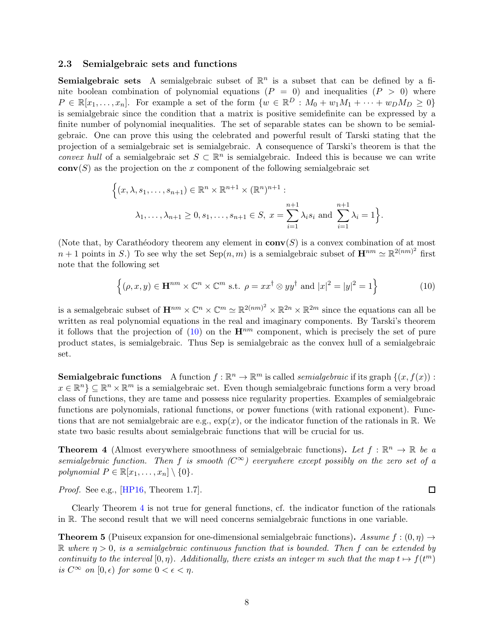#### <span id="page-7-0"></span>2.3 Semialgebraic sets and functions

**Semialgebraic sets** A semialgebraic subset of  $\mathbb{R}^n$  is a subset that can be defined by a finite boolean combination of polynomial equations  $(P = 0)$  and inequalities  $(P > 0)$  where  $P \in \mathbb{R}[x_1,\ldots,x_n]$ . For example a set of the form  $\{w \in \mathbb{R}^D : M_0 + w_1M_1 + \cdots + w_DM_D \geq 0\}$ is semialgebraic since the condition that a matrix is positive semidefinite can be expressed by a finite number of polynomial inequalities. The set of separable states can be shown to be semialgebraic. One can prove this using the celebrated and powerful result of Tarski stating that the projection of a semialgebraic set is semialgebraic. A consequence of Tarski's theorem is that the convex hull of a semialgebraic set  $S \subset \mathbb{R}^n$  is semialgebraic. Indeed this is because we can write  $conv(S)$  as the projection on the x component of the following semialgebraic set

$$
\left\{ (x, \lambda, s_1, \dots, s_{n+1}) \in \mathbb{R}^n \times \mathbb{R}^{n+1} \times (\mathbb{R}^n)^{n+1} : \lambda_1, \dots, \lambda_{n+1} \ge 0, s_1, \dots, s_{n+1} \in S, x = \sum_{i=1}^{n+1} \lambda_i s_i \text{ and } \sum_{i=1}^{n+1} \lambda_i = 1 \right\}.
$$

(Note that, by Carathéodory theorem any element in  $conv(S)$ ) is a convex combination of at most  $n+1$  points in S.) To see why the set  $Sep(n,m)$  is a semialgebraic subset of  $\mathbf{H}^{nm} \simeq \mathbb{R}^{2(nm)^2}$  first note that the following set

<span id="page-7-1"></span>
$$
\left\{ (\rho, x, y) \in \mathbf{H}^{nm} \times \mathbb{C}^n \times \mathbb{C}^m \text{ s.t. } \rho = xx^{\dagger} \otimes yy^{\dagger} \text{ and } |x|^2 = |y|^2 = 1 \right\}
$$
 (10)

is a semalgebraic subset of  $\mathbf{H}^{nm} \times \mathbb{C}^n \times \mathbb{C}^m \simeq \mathbb{R}^{2(nm)^2} \times \mathbb{R}^{2n} \times \mathbb{R}^{2m}$  since the equations can all be written as real polynomial equations in the real and imaginary components. By Tarski's theorem it follows that the projection of  $(10)$  on the  $\mathbf{H}^{nm}$  component, which is precisely the set of pure product states, is semialgebraic. Thus Sep is semialgebraic as the convex hull of a semialgebraic set.

**Semialgebraic functions** A function  $f : \mathbb{R}^n \to \mathbb{R}^m$  is called *semialgebraic* if its graph  $\{(x, f(x)) :$  $x \in \mathbb{R}^n$   $\subseteq \mathbb{R}^n \times \mathbb{R}^m$  is a semialgebraic set. Even though semialgebraic functions form a very broad class of functions, they are tame and possess nice regularity properties. Examples of semialgebraic functions are polynomials, rational functions, or power functions (with rational exponent). Functions that are not semialgebraic are e.g.,  $\exp(x)$ , or the indicator function of the rationals in R. We state two basic results about semialgebraic functions that will be crucial for us.

<span id="page-7-2"></span>**Theorem 4** (Almost everywhere smoothness of semialgebraic functions). Let  $f : \mathbb{R}^n \to \mathbb{R}$  be a semialgebraic function. Then f is smooth  $(C^{\infty})$  everywhere except possibly on the zero set of a polynomial  $P \in \mathbb{R}[x_1, \ldots, x_n] \setminus \{0\}.$ 

Proof. See e.g., [\[HP16,](#page-15-12) Theorem 1.7].

Clearly Theorem [4](#page-7-2) is not true for general functions, cf. the indicator function of the rationals in R. The second result that we will need concerns semialgebraic functions in one variable.

 $\Box$ 

<span id="page-7-3"></span>**Theorem 5** (Puiseux expansion for one-dimensional semialgebraic functions). Assume  $f : (0, \eta) \rightarrow$  $\mathbb R$  where  $\eta > 0$ , is a semialgebraic continuous function that is bounded. Then f can be extended by continuity to the interval  $[0, \eta)$ . Additionally, there exists an integer m such that the map  $t \mapsto f(t^m)$ is  $C^{\infty}$  on  $[0, \epsilon)$  for some  $0 < \epsilon < \eta$ .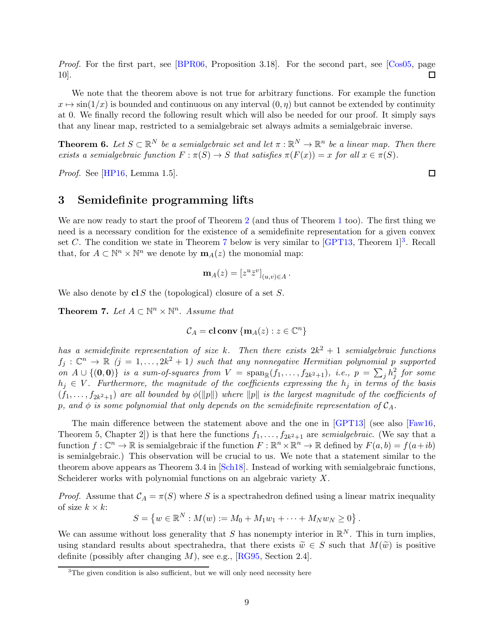Proof. For the first part, see BPR06, Proposition 3.18. For the second part, see [\[Cos05,](#page-14-4) page  $\Box$ 10].

We note that the theorem above is not true for arbitrary functions. For example the function  $x \mapsto \sin(1/x)$  is bounded and continuous on any interval  $(0, \eta)$  but cannot be extended by continuity at 0. We finally record the following result which will also be needed for our proof. It simply says that any linear map, restricted to a semialgebraic set always admits a semialgebraic inverse.

<span id="page-8-3"></span>**Theorem 6.** Let  $S \subset \mathbb{R}^N$  be a semialgebraic set and let  $\pi : \mathbb{R}^N \to \mathbb{R}^n$  be a linear map. Then there exists a semialgebraic function  $F : \pi(S) \to S$  that satisfies  $\pi(F(x)) = x$  for all  $x \in \pi(S)$ .

<span id="page-8-0"></span>Proof. See [\[HP16,](#page-15-12) Lemma 1.5].

## 3 Semidefinite programming lifts

We are now ready to start the proof of Theorem [2](#page-3-0) (and thus of Theorem [1](#page-2-0) too). The first thing we need is a necessary condition for the existence of a semidefinite representation for a given convex set C. The condition we state in Theorem [7](#page-8-1) below is very similar to  $\text{[GPT13, Theorem 1]}^3$  $\text{[GPT13, Theorem 1]}^3$  $\text{[GPT13, Theorem 1]}^3$ . Recall that, for  $A \subset \mathbb{N}^n \times \mathbb{N}^n$  we denote by  $\mathbf{m}_A(z)$  the monomial map:

$$
\mathbf{m}_A(z) = [z^u \bar{z}^v]_{(u,v)\in A}.
$$

We also denote by  $cl S$  the (topological) closure of a set  $S$ .

<span id="page-8-1"></span>**Theorem 7.** Let  $A \subset \mathbb{N}^n \times \mathbb{N}^n$ . Assume that

$$
\mathcal{C}_A = \mathbf{cl} \mathbf{ conv } \{ \mathbf{m}_A(z) : z \in \mathbb{C}^n \}
$$

has a semidefinite representation of size k. Then there exists  $2k^2 + 1$  semialgebraic functions  $f_j: \mathbb{C}^n \to \mathbb{R}$   $(j = 1, \ldots, 2k^2 + 1)$  such that any nonnegative Hermitian polynomial p supported on  $A \cup \{(\mathbf{0},\mathbf{0})\}$  is a sum-of-squares from  $V = \text{span}_{\mathbb{R}}(f_1,\ldots,f_{2k^2+1}),$  i.e.,  $p = \sum_j h_j^2$  for some  $h_j \in V$ . Furthermore, the magnitude of the coefficients expressing the  $h_j$  in terms of the basis  $(f_1,\ldots,f_{2k^2+1})$  are all bounded by  $\phi(\|p\|)$  where  $\|p\|$  is the largest magnitude of the coefficients of p, and  $\phi$  is some polynomial that only depends on the semidefinite representation of  $\mathcal{C}_A$ .

The main difference between the statement above and the one in [\[GPT13\]](#page-15-7) (see also [\[Faw16,](#page-15-10) Theorem 5, Chapter 2]) is that here the functions  $f_1, \ldots, f_{2k^2+1}$  are semialgebraic. (We say that a function  $f: \mathbb{C}^n \to \mathbb{R}$  is semialgebraic if the function  $F: \mathbb{R}^n \times \mathbb{R}^n \to \mathbb{R}$  defined by  $F(a, b) = f(a + ib)$ is semialgebraic.) This observation will be crucial to us. We note that a statement similar to the theorem above appears as Theorem 3.4 in [\[Sch18\]](#page-15-9). Instead of working with semialgebraic functions, Scheiderer works with polynomial functions on an algebraic variety X.

*Proof.* Assume that  $C_A = \pi(S)$  where S is a spectrahedron defined using a linear matrix inequality of size  $k \times k$ :

$$
S = \{ w \in \mathbb{R}^N : M(w) := M_0 + M_1 w_1 + \dots + M_N w_N \ge 0 \}.
$$

We can assume without loss generality that S has nonempty interior in  $\mathbb{R}^N$ . This in turn implies, using standard results about spectrahedra, that there exists  $\tilde{w} \in S$  such that  $M(\tilde{w})$  is positive definite (possibly after changing  $M$ ), see e.g., [\[RG95,](#page-15-13) Section 2.4].

 $\Box$ 

<span id="page-8-2"></span><sup>&</sup>lt;sup>3</sup>The given condition is also sufficient, but we will only need necessity here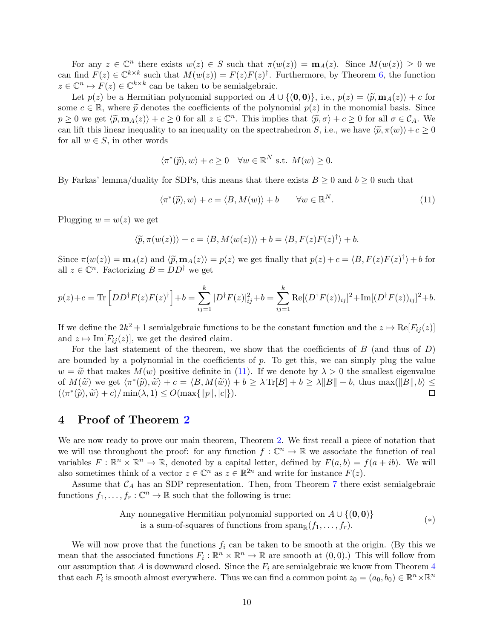For any  $z \in \mathbb{C}^n$  there exists  $w(z) \in S$  such that  $\pi(w(z)) = \mathbf{m}_A(z)$ . Since  $M(w(z)) \geq 0$  we can find  $F(z) \in \mathbb{C}^{k \times k}$  such that  $M(w(z)) = F(z)F(z)^{\dagger}$ . Furthermore, by Theorem [6,](#page-8-3) the function  $z \in \mathbb{C}^n \mapsto F(z) \in \mathbb{C}^{k \times k}$  can be taken to be semialgebraic.

Let  $p(z)$  be a Hermitian polynomial supported on  $A \cup \{(\mathbf{0}, \mathbf{0})\},$  i.e.,  $p(z) = \langle \widetilde{p}, \mathbf{m}_A(z)\rangle + c$  for some  $c \in \mathbb{R}$ , where  $\tilde{p}$  denotes the coefficients of the polynomial  $p(z)$  in the monomial basis. Since  $p \ge 0$  we get  $\langle \tilde{p}, \mathbf{m}_A(z) \rangle + c \ge 0$  for all  $z \in \mathbb{C}^n$ . This implies that  $\langle \tilde{p}, \sigma \rangle + c \ge 0$  for all  $\sigma \in \mathcal{C}_A$ . We can lift this linear inequality to an inequality on the spectrahedron S, i.e., we have  $\langle \tilde{p}, \pi(w) \rangle + c \ge 0$ for all  $w \in S$ , in other words

$$
\langle \pi^*(\widetilde{p}), w \rangle + c \ge 0 \quad \forall w \in \mathbb{R}^N \text{ s.t. } M(w) \ge 0.
$$

By Farkas' lemma/duality for SDPs, this means that there exists  $B \geq 0$  and  $b \geq 0$  such that

<span id="page-9-1"></span>
$$
\langle \pi^*(\widetilde{p}), w \rangle + c = \langle B, M(w) \rangle + b \qquad \forall w \in \mathbb{R}^N. \tag{11}
$$

Plugging  $w = w(z)$  we get

$$
\langle \widetilde{p}, \pi(w(z)) \rangle + c = \langle B, M(w(z)) \rangle + b = \langle B, F(z)F(z)^{\dagger} \rangle + b.
$$

Since  $\pi(w(z)) = \mathbf{m}_A(z)$  and  $\langle \tilde{p}, \mathbf{m}_A(z) \rangle = p(z)$  we get finally that  $p(z) + c = \langle B, F(z)F(z)^{\dagger} \rangle + b$  for all  $z \in \mathbb{C}^n$ . Factorizing  $B = DD^{\dagger}$  we get

$$
p(z) + c = \text{Tr}\left[DD^{\dagger}F(z)F(z)^{\dagger}\right] + b = \sum_{ij=1}^{k} |D^{\dagger}F(z)|_{ij}^{2} + b = \sum_{ij=1}^{k} \text{Re}[(D^{\dagger}F(z))_{ij}]^{2} + \text{Im}[(D^{\dagger}F(z))_{ij}]^{2} + b.
$$

If we define the  $2k^2 + 1$  semialgebraic functions to be the constant function and the  $z \mapsto \text{Re}[F_{ij}(z)]$ and  $z \mapsto \text{Im}[F_{ij}(z)]$ , we get the desired claim.

For the last statement of the theorem, we show that the coefficients of  $B$  (and thus of  $D$ ) are bounded by a polynomial in the coefficients of  $p$ . To get this, we can simply plug the value  $w = \tilde{w}$  that makes  $M(w)$  positive definite in [\(11\)](#page-9-1). If we denote by  $\lambda > 0$  the smallest eigenvalue of  $M(\widetilde{w})$  we get  $\langle \pi^*(\widetilde{p}), \widetilde{w} \rangle + c = \langle B, M(\widetilde{w}) \rangle + b \geq \lambda \text{Tr}[B] + b \geq \lambda ||B|| + b$ , thus max $(||B||, b) \leq$  $(\langle \pi^*(\tilde{p}), \tilde{w} \rangle + c) / \min(\lambda, 1) \leq O(\max\{\Vert p \Vert, |c| \}).$ 

### <span id="page-9-0"></span>4 Proof of Theorem [2](#page-3-0)

We are now ready to prove our main theorem, Theorem [2.](#page-3-0) We first recall a piece of notation that we will use throughout the proof: for any function  $f: \mathbb{C}^n \to \mathbb{R}$  we associate the function of real variables  $F: \mathbb{R}^n \times \mathbb{R}^n \to \mathbb{R}$ , denoted by a capital letter, defined by  $F(a, b) = f(a + ib)$ . We will also sometimes think of a vector  $z \in \mathbb{C}^n$  as  $z \in \mathbb{R}^{2n}$  and write for instance  $F(z)$ .

Assume that  $C_A$  has an SDP representation. Then, from Theorem [7](#page-8-1) there exist semialgebraic functions  $f_1, \ldots, f_r : \mathbb{C}^n \to \mathbb{R}$  such that the following is true:

<span id="page-9-2"></span>Any nonnegative Hermitian polynomial supported on 
$$
A \cup \{(\mathbf{0}, \mathbf{0})\}
$$
  
is a sum-of-squares of functions from  $\text{span}_{\mathbb{R}}(f_1, \ldots, f_r)$ . (\*)

We will now prove that the functions  $f_i$  can be taken to be smooth at the origin. (By this we mean that the associated functions  $F_i: \mathbb{R}^n \times \mathbb{R}^n \to \mathbb{R}$  are smooth at  $(0,0)$ .) This will follow from our assumption that A is downward closed. Since the  $F_i$  are semialgebraic we know from Theorem [4](#page-7-2) that each  $F_i$  is smooth almost everywhere. Thus we can find a common point  $z_0 = (a_0, b_0) \in \mathbb{R}^n \times \mathbb{R}^n$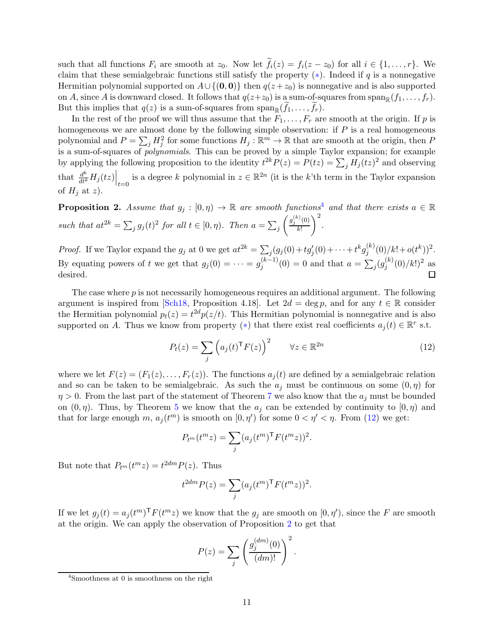such that all functions  $F_i$  are smooth at  $z_0$ . Now let  $f_i(z) = f_i(z - z_0)$  for all  $i \in \{1, ..., r\}$ . We claim that these semialgebraic functions still satisfy the property  $(*)$ . Indeed if q is a nonnegative Hermitian polynomial supported on  $A \cup \{(\mathbf{0}, \mathbf{0})\}$  then  $q(z + z_0)$  is nonnegative and is also supported on A, since A is downward closed. It follows that  $q(z+z_0)$  is a sum-of-squares from  $\text{span}_{\mathbb{R}}(f_1, \ldots, f_r)$ . But this implies that  $q(z)$  is a sum-of-squares from  $\text{span}_{\mathbb{R}}(f_1,\ldots,f_r)$ .

In the rest of the proof we will thus assume that the  $F_1, \ldots, F_r$  are smooth at the origin. If p is homogeneous we are almost done by the following simple observation: if  $P$  is a real homogeneous polynomial and  $P = \sum_j H_j^2$  for some functions  $H_j : \mathbb{R}^m \to \mathbb{R}$  that are smooth at the origin, then P is a sum-of-squares of polynomials. This can be proved by a simple Taylor expansion; for example by applying the following proposition to the identity  $t^{2k}P(z) = P(tz) = \sum_j H_j(tz)^2$  and observing that  $\frac{d^k}{dt^k} H_j(tz)\Big|_{t=0}$  is a degree k polynomial in  $z \in \mathbb{R}^{2n}$  (it is the k'th term in the Taylor expansion of  $H_i$  at z).

<span id="page-10-2"></span>**Proposition 2.** Assume that  $g_j : [0, \eta) \to \mathbb{R}$  are smooth functions<sup>[4](#page-10-0)</sup> and that there exists  $a \in \mathbb{R}$ such that  $at^{2k} = \sum_j g_j(t)^2$  for all  $t \in [0, \eta)$ . Then  $a = \sum_j$  $\int g_j^{(k)}(0)$ k!  $\setminus^2$ .

*Proof.* If we Taylor expand the  $g_j$  at 0 we get  $at^{2k} = \sum_j (g_j(0) + tg'_j(0) + \cdots + t^k g_j^{(k)})$  $j^{(k)}(0)/k!+o(t^k))^2.$ By equating powers of t we get that  $g_j(0) = \cdots = g_j^{(k-1)}$  $j_j^{(k-1)}(0) = 0$  and that  $a = \sum_j (g_j^{(k)})$  $j^{(k)}(0)/k!)^2$  as desired.

The case where  $p$  is not necessarily homogeneous requires an additional argument. The following argument is inspired from [\[Sch18,](#page-15-9) Proposition 4.18]. Let  $2d = \deg p$ , and for any  $t \in \mathbb{R}$  consider the Hermitian polynomial  $p_t(z) = t^{2d} p(z/t)$ . This Hermitian polynomial is nonnegative and is also supported on A. Thus we know from property (\*) that there exist real coefficients  $a_j(t) \in \mathbb{R}^r$  s.t.

<span id="page-10-1"></span>
$$
P_t(z) = \sum_j \left( a_j(t)^\mathsf{T} F(z) \right)^2 \qquad \forall z \in \mathbb{R}^{2n} \tag{12}
$$

where we let  $F(z) = (F_1(z), \ldots, F_r(z))$ . The functions  $a_i(t)$  are defined by a semialgebraic relation and so can be taken to be semialgebraic. As such the  $a_j$  must be continuous on some  $(0, \eta)$  for  $\eta > 0$ . From the last part of the statement of Theorem [7](#page-8-1) we also know that the  $a_i$  must be bounded on  $(0, \eta)$ . Thus, by Theorem [5](#page-7-3) we know that the  $a_j$  can be extended by continuity to  $(0, \eta)$  and that for large enough m,  $a_j(t^m)$  is smooth on  $[0, \eta')$  for some  $0 < \eta' < \eta$ . From [\(12\)](#page-10-1) we get:

$$
P_{t^m}(t^m z) = \sum_j (a_j(t^m)^\mathsf{T} F(t^m z))^2.
$$

But note that  $P_{t^m}(t^m z) = t^{2dm} P(z)$ . Thus

$$
t^{2dm}P(z) = \sum_{j} (a_j(t^m)^\mathsf{T} F(t^m z))^2.
$$

If we let  $g_j(t) = a_j(t^m)^\mathsf{T} F(t^m z)$  we know that the  $g_j$  are smooth on  $[0, \eta')$ , since the F are smooth at the origin. We can apply the observation of Proposition [2](#page-10-2) to get that

$$
P(z) = \sum_{j} \left( \frac{g_j^{(dm)}(0)}{(dm)!} \right)^2.
$$

<span id="page-10-0"></span><sup>4</sup> Smoothness at 0 is smoothness on the right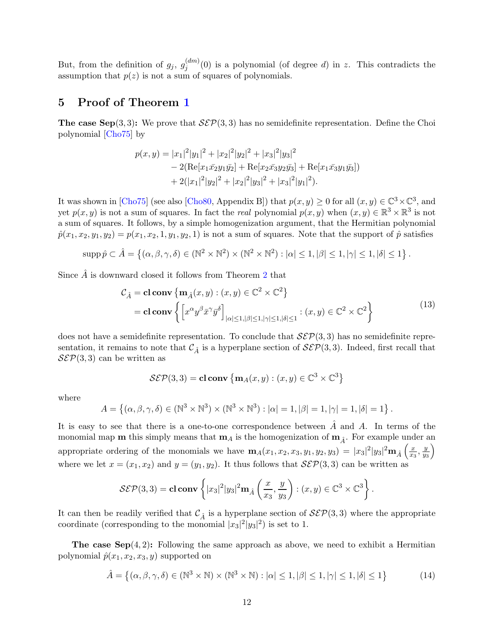But, from the definition of  $g_j$ ,  $g_j^{(dm)}$  $j_j^{(um)}(0)$  is a polynomial (of degree d) in z. This contradicts the assumption that  $p(z)$  is not a sum of squares of polynomials.

## <span id="page-11-0"></span>5 Proof of Theorem [1](#page-2-0)

The case Sep(3,3): We prove that  $\mathcal{S}\mathcal{E}\mathcal{P}(3,3)$  has no semidefinite representation. Define the Choi polynomial [\[Cho75\]](#page-14-5) by

$$
p(x,y) = |x_1|^2 |y_1|^2 + |x_2|^2 |y_2|^2 + |x_3|^2 |y_3|^2
$$
  
- 2(Re[x\_1\bar{x\_2}y\_1\bar{y\_2}] + Re[x\_2\bar{x\_3}y\_2\bar{y\_3}] + Re[x\_1\bar{x\_3}y\_1\bar{y\_3}])  
+ 2(|x\_1|^2 |y\_2|^2 + |x\_2|^2 |y\_3|^2 + |x\_3|^2 |y\_1|^2).

It was shown in [\[Cho75\]](#page-14-5) (see also [\[Cho80,](#page-14-6) Appendix B]) that  $p(x, y) \ge 0$  for all  $(x, y) \in \mathbb{C}^3 \times \mathbb{C}^3$ , and yet  $p(x, y)$  is not a sum of squares. In fact the real polynomial  $p(x, y)$  when  $(x, y) \in \mathbb{R}^3 \times \mathbb{R}^3$  is not a sum of squares. It follows, by a simple homogenization argument, that the Hermitian polynomial  $\hat{p}(x_1, x_2, y_1, y_2) = p(x_1, x_2, 1, y_1, y_2, 1)$  is not a sum of squares. Note that the support of  $\hat{p}$  satisfies

$$
\mathrm{supp}\,\hat{p}\subset\hat{A}=\left\{(\alpha,\beta,\gamma,\delta)\in(\mathbb{N}^2\times\mathbb{N}^2)\times(\mathbb{N}^2\times\mathbb{N}^2):|\alpha|\leq 1,|\beta|\leq 1,|\gamma|\leq 1,|\delta|\leq 1\right\}.
$$

Since  $\hat{A}$  is downward closed it follows from Theorem [2](#page-3-0) that

$$
\mathcal{C}_{\hat{A}} = \mathbf{cl} \mathbf{conv} \left\{ \mathbf{m}_{\hat{A}}(x, y) : (x, y) \in \mathbb{C}^2 \times \mathbb{C}^2 \right\}
$$
  
=  $\mathbf{cl} \mathbf{conv} \left\{ \left[ x^{\alpha} y^{\beta} \bar{x}^{\gamma} \bar{y}^{\delta} \right]_{|\alpha| \le 1, |\beta| \le 1, |\gamma| \le 1, |\delta| \le 1} : (x, y) \in \mathbb{C}^2 \times \mathbb{C}^2 \right\}$  (13)

does not have a semidefinite representation. To conclude that  $\mathcal{S}\mathcal{E}\mathcal{P}(3,3)$  has no semidefinite representation, it remains to note that  $\mathcal{C}_{\hat{A}}$  is a hyperplane section of  $\mathcal{S}\mathcal{E}\mathcal{P}(3,3)$ . Indeed, first recall that  $\mathcal{S}\mathcal{E}\mathcal{P}(3,3)$  can be written as

$$
\mathcal{S}\mathcal{E}\mathcal{P}(3,3) = \mathbf{cl} \mathbf{conv} \left\{ \mathbf{m}_A(x,y) : (x,y) \in \mathbb{C}^3 \times \mathbb{C}^3 \right\}
$$

where

$$
A = \left\{ (\alpha, \beta, \gamma, \delta) \in (\mathbb{N}^3 \times \mathbb{N}^3) \times (\mathbb{N}^3 \times \mathbb{N}^3) : |\alpha| = 1, |\beta| = 1, |\gamma| = 1, |\delta| = 1 \right\}.
$$

It is easy to see that there is a one-to-one correspondence between  $\hat{A}$  and  $A$ . In terms of the monomial map **m** this simply means that  $m_A$  is the homogenization of  $m_{\hat{A}}$ . For example under an appropriate ordering of the monomials we have  $\mathbf{m}_A(x_1, x_2, x_3, y_1, y_2, y_3) = |x_3|^2 |y_3|^2 \mathbf{m}_{\hat{A}} \left( \frac{x_1^2}{x_1^2} \right)$  $\frac{x}{x_3}, \frac{y}{y_3}$  $y_3$  $\setminus$ where we let  $x = (x_1, x_2)$  and  $y = (y_1, y_2)$ . It thus follows that  $\mathcal{S}\mathcal{E}\mathcal{P}(3,3)$  can be written as

$$
\mathcal{S}\mathcal{E}\mathcal{P}(3,3) = \mathbf{cl} \mathbf{conv} \left\{ |x_3|^2 |y_3|^2 \mathbf{m}_{\hat{A}} \left( \frac{x}{x_3}, \frac{y}{y_3} \right) : (x,y) \in \mathbb{C}^3 \times \mathbb{C}^3 \right\}.
$$

It can then be readily verified that  $\mathcal{C}_{\hat{A}}$  is a hyperplane section of  $\mathcal{S}\mathcal{E}\mathcal{P}(3,3)$  where the appropriate coordinate (corresponding to the monomial  $|x_3|^2|y_3|^2$ ) is set to 1.

The case  $\text{Sep}(4,2)$ : Following the same approach as above, we need to exhibit a Hermitian polynomial  $\hat{p}(x_1, x_2, x_3, y)$  supported on

<span id="page-11-1"></span>
$$
\hat{A} = \left\{ (\alpha, \beta, \gamma, \delta) \in (\mathbb{N}^3 \times \mathbb{N}) \times (\mathbb{N}^3 \times \mathbb{N}) : |\alpha| \le 1, |\beta| \le 1, |\gamma| \le 1, |\delta| \le 1 \right\}
$$
(14)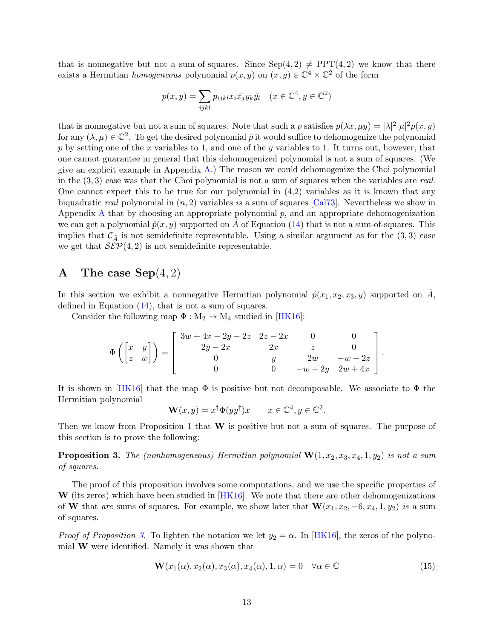that is nonnegative but not a sum-of-squares. Since  $Sep(4, 2) \neq PPT(4, 2)$  we know that there exists a Hermitian *homogeneous* polynomial  $p(x, y)$  on  $(x, y) \in \mathbb{C}^4 \times \mathbb{C}^2$  of the form

$$
p(x, y) = \sum_{ijkl} p_{ijkl} x_i \bar{x_j} y_k \bar{y_l} \quad (x \in \mathbb{C}^4, y \in \mathbb{C}^2)
$$

that is nonnegative but not a sum of squares. Note that such a p satisfies  $p(\lambda x, \mu y) = |\lambda|^2 |\mu|^2 p(x, y)$ for any  $(\lambda, \mu) \in \mathbb{C}^2$ . To get the desired polynomial  $\hat{p}$  it would suffice to dehomogenize the polynomial p by setting one of the x variables to 1, and one of the y variables to 1. It turns out, however, that one cannot guarantee in general that this dehomogenized polynomial is not a sum of squares. (We give an explicit example in Appendix  $A$ .) The reason we could dehomogenize the Choi polynomial in the  $(3,3)$  case was that the Choi polynomial is not a sum of squares when the variables are real. One cannot expect this to be true for our polynomial in  $(4,2)$  variables as it is known that any biquadratic real polynomial in  $(n, 2)$  variables is a sum of squares [\[Cal73\]](#page-14-7). Nevertheless we show in Appendix [A](#page-12-0) that by choosing an appropriate polynomial p, and an appropriate dehomogenization we can get a polynomial  $\hat{p}(x, y)$  supported on A of Equation [\(14\)](#page-11-1) that is not a sum-of-squares. This implies that  $\mathcal{C}_{\hat{A}}$  is not semidefinite representable. Using a similar argument as for the  $(3,3)$  case we get that  $\mathcal{S}\mathcal{E}\mathcal{P}(4,2)$  is not semidefinite representable.

## <span id="page-12-0"></span>A The case  $Sep(4,2)$

In this section we exhibit a nonnegative Hermitian polynomial  $\hat{p}(x_1, x_2, x_3, y)$  supported on A, defined in Equation [\(14\)](#page-11-1), that is not a sum of squares.

Consider the following map  $\Phi : M_2 \to M_4$  studied in [\[HK16\]](#page-15-14):

$$
\Phi\left(\begin{bmatrix} x & y \\ z & w \end{bmatrix}\right) = \begin{bmatrix} 3w + 4x - 2y - 2z & 2z - 2x & 0 & 0 \\ 2y - 2x & 2x & z & 0 \\ 0 & y & 2w & -w - 2z \\ 0 & 0 & -w - 2y & 2w + 4x \end{bmatrix}.
$$

It is shown in  $[HK16]$  that the map  $\Phi$  is positive but not decomposable. We associate to  $\Phi$  the Hermitian polynomial

$$
\mathbf{W}(x, y) = x^{\dagger} \Phi(y y^{\dagger}) x \qquad x \in \mathbb{C}^{4}, y \in \mathbb{C}^{2}.
$$

Then we know from Proposition [1](#page-6-0) that  $W$  is positive but not a sum of squares. The purpose of this section is to prove the following:

<span id="page-12-1"></span>**Proposition 3.** The (nonhomogeneous) Hermitian polynomial  $\mathbf{W}(1, x_2, x_3, x_4, 1, y_2)$  is not a sum of squares.

The proof of this proposition involves some computations, and we use the specific properties of  $\mathbf{W}$  (its zeros) which have been studied in [\[HK16\]](#page-15-14). We note that there are other dehomogenizations of W that are sums of squares. For example, we show later that  $W(x_1, x_2, -6, x_4, 1, y_2)$  is a sum of squares.

*Proof of Proposition [3.](#page-12-1)* To lighten the notation we let  $y_2 = \alpha$ . In [\[HK16\]](#page-15-14), the zeros of the polynomial W were identified. Namely it was shown that

<span id="page-12-2"></span>
$$
\mathbf{W}(x_1(\alpha), x_2(\alpha), x_3(\alpha), x_4(\alpha), 1, \alpha) = 0 \quad \forall \alpha \in \mathbb{C}
$$
\n(15)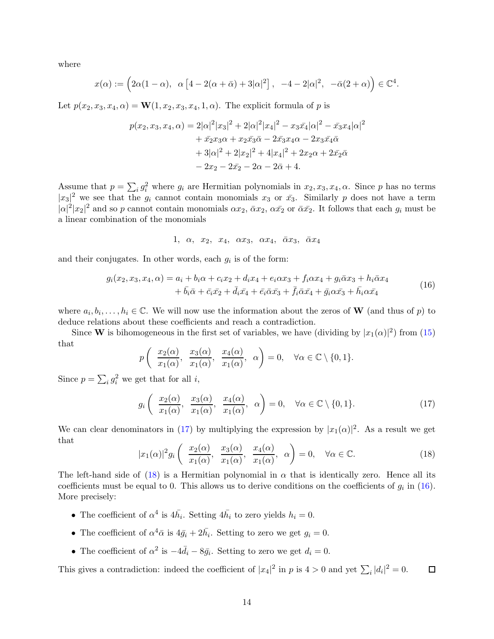where

$$
x(\alpha):=\Big(2\alpha(1-\alpha), \ \alpha\left[4-2(\alpha+\bar\alpha)+3|\alpha|^2\right], \ -4-2|\alpha|^2, \ -\bar\alpha(2+\alpha)\Big)\in\mathbb{C}^4.
$$

Let  $p(x_2, x_3, x_4, \alpha) = \mathbf{W}(1, x_2, x_3, x_4, 1, \alpha)$ . The explicit formula of p is

$$
p(x_2, x_3, x_4, \alpha) = 2|\alpha|^2 |x_3|^2 + 2|\alpha|^2 |x_4|^2 - x_3\bar{x}_4|\alpha|^2 - \bar{x}_3x_4|\alpha|^2
$$
  
+  $\bar{x}_2x_3\alpha + x_2\bar{x}_3\bar{\alpha} - 2\bar{x}_3x_4\alpha - 2x_3\bar{x}_4\bar{\alpha}$   
+  $3|\alpha|^2 + 2|x_2|^2 + 4|x_4|^2 + 2x_2\alpha + 2\bar{x}_2\bar{\alpha}$   
-  $2x_2 - 2\bar{x}_2 - 2\alpha - 2\bar{\alpha} + 4$ .

Assume that  $p = \sum_i g_i^2$  where  $g_i$  are Hermitian polynomials in  $x_2, x_3, x_4, \alpha$ . Since p has no terms  $|x_3|^2$  we see that the  $g_i$  cannot contain monomials  $x_3$  or  $\bar{x}_3$ . Similarly p does not have a term  $|\alpha|^2 |x_2|^2$  and so p cannot contain monomials  $\alpha x_2$ ,  $\bar{\alpha} x_2$ ,  $\alpha \bar{x_2}$  or  $\bar{\alpha} \bar{x_2}$ . It follows that each  $g_i$  must be a linear combination of the monomials

$$
1, \alpha, x_2, x_4, \alpha x_3, \alpha x_4, \overline{\alpha} x_3, \overline{\alpha} x_4
$$

and their conjugates. In other words, each  $g_i$  is of the form:

<span id="page-13-2"></span>
$$
g_i(x_2, x_3, x_4, \alpha) = a_i + b_i \alpha + c_i x_2 + d_i x_4 + e_i \alpha x_3 + f_i \alpha x_4 + g_i \bar{\alpha} x_3 + h_i \bar{\alpha} x_4 + \bar{b}_i \bar{\alpha} + \bar{c}_i \bar{x}_2 + \bar{d}_i \bar{x}_4 + \bar{e}_i \bar{\alpha} \bar{x}_3 + \bar{f}_i \bar{\alpha} \bar{x}_4 + g_i \alpha \bar{x}_3 + \bar{h}_i \alpha \bar{x}_4
$$
(16)

where  $a_i, b_i, \ldots, h_i \in \mathbb{C}$ . We will now use the information about the zeros of **W** (and thus of p) to deduce relations about these coefficients and reach a contradiction.

Since **W** is bihomogeneous in the first set of variables, we have (dividing by  $|x_1(\alpha)|^2$ ) from [\(15\)](#page-12-2) that

$$
p\left(\frac{x_2(\alpha)}{x_1(\alpha)}, \frac{x_3(\alpha)}{x_1(\alpha)}, \frac{x_4(\alpha)}{x_1(\alpha)}, \alpha\right) = 0, \forall \alpha \in \mathbb{C} \setminus \{0, 1\}.
$$

Since  $p = \sum_i g_i^2$  we get that for all *i*,

<span id="page-13-0"></span>
$$
g_i\left(\begin{array}{cc} \frac{x_2(\alpha)}{x_1(\alpha)}, & \frac{x_3(\alpha)}{x_1(\alpha)}, & \frac{x_4(\alpha)}{x_1(\alpha)}, & \alpha \end{array}\right) = 0, \quad \forall \alpha \in \mathbb{C} \setminus \{0, 1\}.
$$
 (17)

We can clear denominators in [\(17\)](#page-13-0) by multiplying the expression by  $|x_1(\alpha)|^2$ . As a result we get that

<span id="page-13-1"></span>
$$
|x_1(\alpha)|^2 g_i\left(\frac{x_2(\alpha)}{x_1(\alpha)}, \frac{x_3(\alpha)}{x_1(\alpha)}, \frac{x_4(\alpha)}{x_1(\alpha)}, \alpha\right) = 0, \quad \forall \alpha \in \mathbb{C}.\tag{18}
$$

The left-hand side of [\(18\)](#page-13-1) is a Hermitian polynomial in  $\alpha$  that is identically zero. Hence all its coefficients must be equal to 0. This allows us to derive conditions on the coefficients of  $g_i$  in [\(16\)](#page-13-2). More precisely:

- The coefficient of  $\alpha^4$  is  $4\bar{h_i}$ . Setting  $4\bar{h_i}$  to zero yields  $h_i = 0$ .
- The coefficient of  $\alpha^4 \bar{\alpha}$  is  $4\bar{g}_i + 2\bar{h}_i$ . Setting to zero we get  $g_i = 0$ .
- The coefficient of  $\alpha^2$  is  $-4\overline{d}_i 8\overline{g}_i$ . Setting to zero we get  $d_i = 0$ .

This gives a contradiction: indeed the coefficient of  $|x_4|^2$  in p is  $4 > 0$  and yet  $\sum_i |d_i|^2 = 0$ .  $\Box$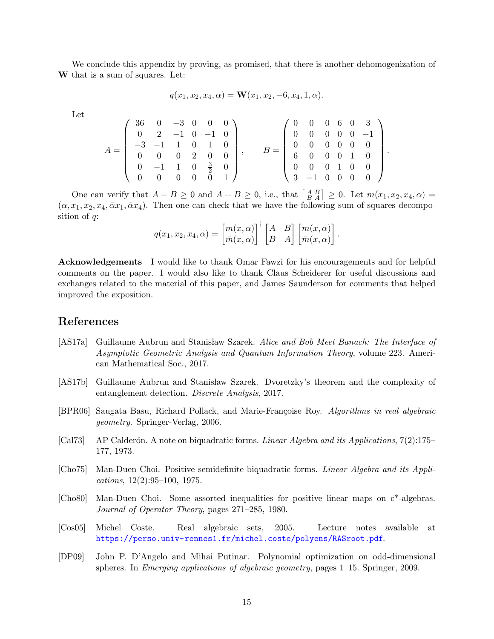We conclude this appendix by proving, as promised, that there is another dehomogenization of W that is a sum of squares. Let:

$$
q(x_1, x_2, x_4, \alpha) = \mathbf{W}(x_1, x_2, -6, x_4, 1, \alpha).
$$

Let

$$
A = \left(\begin{array}{cccc} 36 & 0 & -3 & 0 & 0 & 0 \\ 0 & 2 & -1 & 0 & -1 & 0 \\ -3 & -1 & 1 & 0 & 1 & 0 \\ 0 & 0 & 0 & 2 & 0 & 0 \\ 0 & -1 & 1 & 0 & \frac{3}{2} & 0 \\ 0 & 0 & 0 & 0 & 0 & 1 \end{array}\right), \qquad B = \left(\begin{array}{cccc} 0 & 0 & 0 & 6 & 0 & 3 \\ 0 & 0 & 0 & 0 & 0 & -1 \\ 0 & 0 & 0 & 0 & 0 & 0 \\ 6 & 0 & 0 & 0 & 1 & 0 \\ 0 & 0 & 0 & 1 & 0 & 0 \\ 3 & -1 & 0 & 0 & 0 & 0 \end{array}\right).
$$

One can verify that  $A - B \ge 0$  and  $A + B \ge 0$ , i.e., that  $\begin{bmatrix} A & B \\ B & A \end{bmatrix} \ge 0$ . Let  $m(x_1, x_2, x_4, \alpha) =$  $(\alpha, x_1, x_2, x_4, \bar{\alpha}x_1, \bar{\alpha}x_4)$ . Then one can check that we have the following sum of squares decomposition of  $q$ :

$$
q(x_1, x_2, x_4, \alpha) = \begin{bmatrix} m(x, \alpha) \\ \bar{m}(x, \alpha) \end{bmatrix}^\dagger \begin{bmatrix} A & B \\ B & A \end{bmatrix} \begin{bmatrix} m(x, \alpha) \\ \bar{m}(x, \alpha) \end{bmatrix}.
$$

Acknowledgements I would like to thank Omar Fawzi for his encouragements and for helpful comments on the paper. I would also like to thank Claus Scheiderer for useful discussions and exchanges related to the material of this paper, and James Saunderson for comments that helped improved the exposition.

## References

- <span id="page-14-2"></span>[AS17a] Guillaume Aubrun and Stanisław Szarek. Alice and Bob Meet Banach: The Interface of Asymptotic Geometric Analysis and Quantum Information Theory, volume 223. American Mathematical Soc., 2017.
- <span id="page-14-0"></span>[AS17b] Guillaume Aubrun and Stanisław Szarek. Dvoretzky's theorem and the complexity of entanglement detection. Discrete Analysis, 2017.
- <span id="page-14-3"></span>[BPR06] Saugata Basu, Richard Pollack, and Marie-Françoise Roy. Algorithms in real algebraic geometry. Springer-Verlag, 2006.
- <span id="page-14-7"></span>[Cal73] AP Calderón. A note on biquadratic forms. Linear Algebra and its Applications,  $7(2)$ :175– 177, 1973.
- <span id="page-14-5"></span>[Cho75] Man-Duen Choi. Positive semidefinite biquadratic forms. Linear Algebra and its Applications, 12(2):95–100, 1975.
- <span id="page-14-6"></span>[Cho80] Man-Duen Choi. Some assorted inequalities for positive linear maps on c\*-algebras. Journal of Operator Theory, pages 271–285, 1980.
- <span id="page-14-4"></span>[Cos05] Michel Coste. Real algebraic sets, 2005. Lecture notes available at <https://perso.univ-rennes1.fr/michel.coste/polyens/RASroot.pdf>.
- <span id="page-14-1"></span>[DP09] John P. D'Angelo and Mihai Putinar. Polynomial optimization on odd-dimensional spheres. In Emerging applications of algebraic geometry, pages 1–15. Springer, 2009.